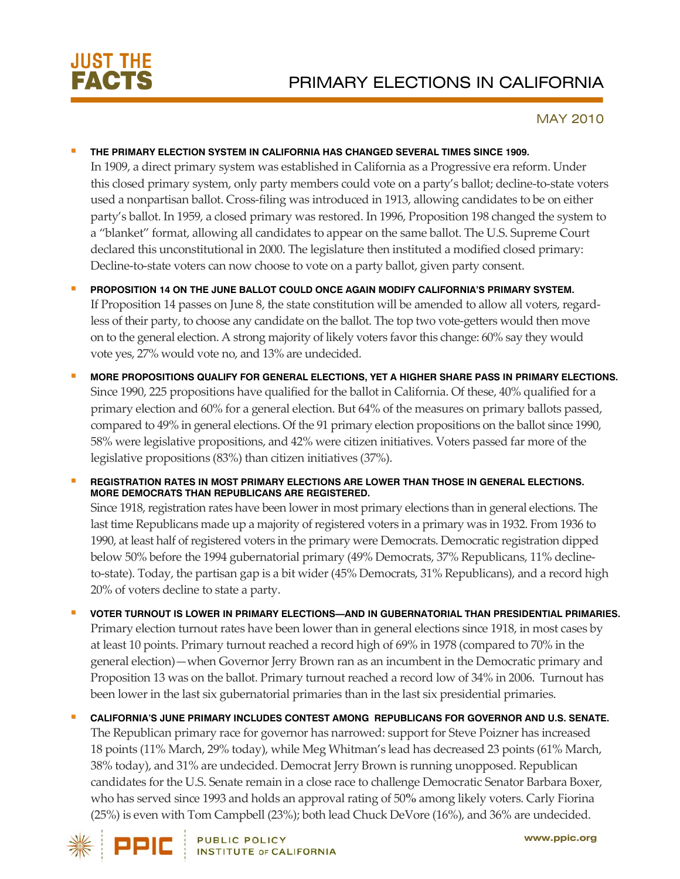

## MAY 2010

## **THE PRIMARY ELECTION SYSTEM IN CALIFORNIA HAS CHANGED SEVERAL TIMES SINCE 1909.**

In 1909, a direct primary system was established in California as a Progressive era reform. Under this closed primary system, only party members could vote on a party's ballot; decline-to-state voters used a nonpartisan ballot. Cross-filing was introduced in 1913, allowing candidates to be on either party's ballot. In 1959, a closed primary was restored. In 1996, Proposition 198 changed the system to a "blanket" format, allowing all candidates to appear on the same ballot. The U.S. Supreme Court declared this unconstitutional in 2000. The legislature then instituted a modified closed primary: Decline-to-state voters can now choose to vote on a party ballot, given party consent.

- **PROPOSITION 14 ON THE JUNE BALLOT COULD ONCE AGAIN MODIFY CALIFORNIA'S PRIMARY SYSTEM.** If Proposition 14 passes on June 8, the state constitution will be amended to allow all voters, regardless of their party, to choose any candidate on the ballot. The top two vote-getters would then move on to the general election. A strong majority of likely voters favorthis change: 60% say they would vote yes, 27% would vote no, and 13% are undecided.
- **MORE PROPOSITIONS QUALIFY FOR GENERAL ELECTIONS, YET A HIGHER SHARE PASS IN PRIMARY ELECTIONS.** Since 1990, 225 propositions have qualified for the ballot in California. Of these, 40% qualified for a primary election and 60% for a general election. But 64% of the measures on primary ballots passed, compared to 49% in general elections. Of the 91 primary election propositions on the ballot since 1990, 58% were legislative propositions, and 42% were citizen initiatives. Voters passed far more of the legislative propositions (83%) than citizen initiatives (37%).

 **REGISTRATION RATES IN MOST PRIMARY ELECTIONS ARE LOWER THAN THOSE IN GENERAL ELECTIONS. MORE DEMOCRATS THAN REPUBLICANS ARE REGISTERED.**  Since 1918, registration rates have been lower in most primary elections than in general elections. The last time Republicans made up a majority of registered voters in a primary was in 1932. From 1936 to 1990, at least half of registered voters in the primary were Democrats. Democratic registration dipped below 50% before the 1994 gubernatorial primary (49% Democrats, 37% Republicans, 11% declineto-state). Today, the partisan gap is a bit wider (45% Democrats, 31% Republicans), and a record high 20% of voters decline to state a party.

- **VOTER TURNOUT IS LOWER IN PRIMARY ELECTIONS—AND IN GUBERNATORIAL THAN PRESIDENTIAL PRIMARIES.** Primary election turnout rates have been lower than in general elections since 1918, in most cases by at least 10 points. Primary turnout reached a record high of 69% in 1978 (compared to 70% in the general election)—when Governor Jerry Brown ran as an incumbent in the Democratic primary and Proposition 13 was on the ballot. Primary turnout reached a record low of 34% in 2006. Turnout has been lower in the last six gubernatorial primaries than in the last six presidential primaries.
- **CALIFORNIA'S JUNE PRIMARY INCLUDES CONTEST AMONG REPUBLICANS FOR GOVERNOR AND U.S. SENATE.**  The Republican primary race for governor has narrowed: support for Steve Poizner has increased 18 points (11% March, 29% today), while Meg Whitman's lead has decreased 23 points (61% March, 38% today), and 31% are undecided. Democrat Jerry Brown is running unopposed. Republican candidates for the U.S. Senate remain in a close race to challenge Democratic Senator Barbara Boxer, who has served since 1993 and holds an approval rating of 50**%** among likely voters. Carly Fiorina (25%) is even with Tom Campbell (23%); both lead Chuck DeVore (16%), and 36% are undecided.